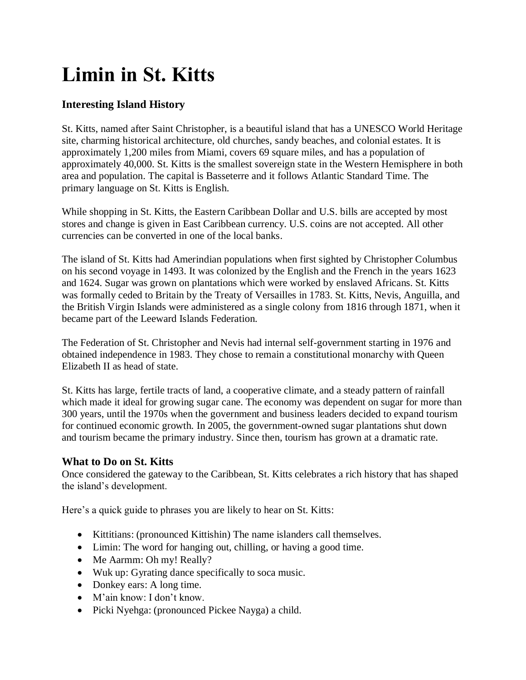# **Limin in St. Kitts**

# **Interesting Island History**

St. Kitts, named after Saint Christopher, is a beautiful island that has a UNESCO World Heritage site, charming historical architecture, old churches, sandy beaches, and colonial estates. It is approximately 1,200 miles from Miami, covers 69 square miles, and has a population of approximately 40,000. St. Kitts is the smallest sovereign state in the Western Hemisphere in both area and population. The capital is Basseterre and it follows Atlantic Standard Time. The primary language on St. Kitts is English.

While shopping in St. Kitts, the Eastern Caribbean Dollar and U.S. bills are accepted by most stores and change is given in East Caribbean currency. U.S. coins are not accepted. All other currencies can be converted in one of the local banks.

The island of St. Kitts had Amerindian populations when first sighted by Christopher Columbus on his second voyage in 1493. It was colonized by the English and the French in the years 1623 and 1624. Sugar was grown on plantations which were worked by enslaved Africans. St. Kitts was formally ceded to Britain by the Treaty of Versailles in 1783. St. Kitts, Nevis, Anguilla, and the British Virgin Islands were administered as a single colony from 1816 through 1871, when it became part of the Leeward Islands Federation.

The Federation of St. Christopher and Nevis had internal self-government starting in 1976 and obtained independence in 1983. They chose to remain a constitutional monarchy with Queen Elizabeth II as head of state.

St. Kitts has large, fertile tracts of land, a cooperative climate, and a steady pattern of rainfall which made it ideal for growing sugar cane. The economy was dependent on sugar for more than 300 years, until the 1970s when the government and business leaders decided to expand tourism for continued economic growth. In 2005, the government-owned sugar plantations shut down and tourism became the primary industry. Since then, tourism has grown at a dramatic rate.

# **What to Do on St. Kitts**

Once considered the gateway to the Caribbean, St. Kitts celebrates a rich history that has shaped the island's development.

Here's a quick guide to phrases you are likely to hear on St. Kitts:

- Kittitians: (pronounced Kittishin) The name islanders call themselves.
- Limin: The word for hanging out, chilling, or having a good time.
- Me Aarmm: Oh my! Really?
- Wuk up: Gyrating dance specifically to soca music.
- Donkey ears: A long time.
- M'ain know: I don't know.
- Picki Nyehga: (pronounced Pickee Nayga) a child.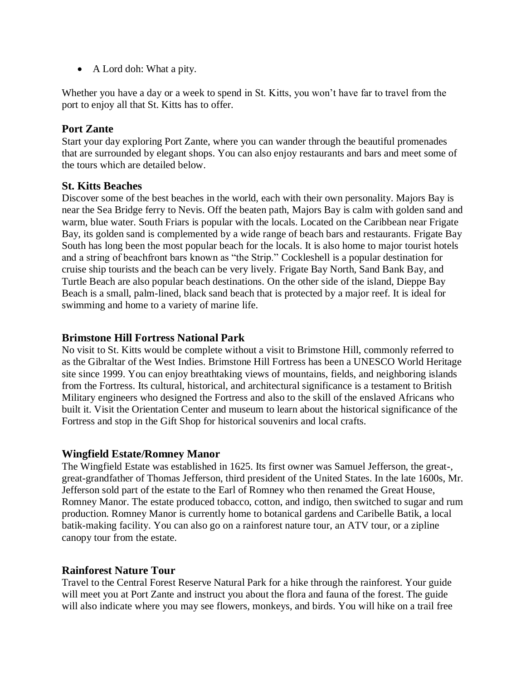• A Lord doh: What a pity.

Whether you have a day or a week to spend in St. Kitts, you won't have far to travel from the port to enjoy all that St. Kitts has to offer.

#### **Port Zante**

Start your day exploring Port Zante, where you can wander through the beautiful promenades that are surrounded by elegant shops. You can also enjoy restaurants and bars and meet some of the tours which are detailed below.

# **St. Kitts Beaches**

Discover some of the best beaches in the world, each with their own personality. Majors Bay is near the Sea Bridge ferry to Nevis. Off the beaten path, Majors Bay is calm with golden sand and warm, blue water. South Friars is popular with the locals. Located on the Caribbean near Frigate Bay, its golden sand is complemented by a wide range of beach bars and restaurants. Frigate Bay South has long been the most popular beach for the locals. It is also home to major tourist hotels and a string of beachfront bars known as "the Strip." Cockleshell is a popular destination for cruise ship tourists and the beach can be very lively. Frigate Bay North, Sand Bank Bay, and Turtle Beach are also popular beach destinations. On the other side of the island, Dieppe Bay Beach is a small, palm-lined, black sand beach that is protected by a major reef. It is ideal for swimming and home to a variety of marine life.

#### **Brimstone Hill Fortress National Park**

No visit to St. Kitts would be complete without a visit to Brimstone Hill, commonly referred to as the Gibraltar of the West Indies. Brimstone Hill Fortress has been a UNESCO World Heritage site since 1999. You can enjoy breathtaking views of mountains, fields, and neighboring islands from the Fortress. Its cultural, historical, and architectural significance is a testament to British Military engineers who designed the Fortress and also to the skill of the enslaved Africans who built it. Visit the Orientation Center and museum to learn about the historical significance of the Fortress and stop in the Gift Shop for historical souvenirs and local crafts.

#### **Wingfield Estate/Romney Manor**

The Wingfield Estate was established in 1625. Its first owner was Samuel Jefferson, the great-, great-grandfather of Thomas Jefferson, third president of the United States. In the late 1600s, Mr. Jefferson sold part of the estate to the Earl of Romney who then renamed the Great House, Romney Manor. The estate produced tobacco, cotton, and indigo, then switched to sugar and rum production. Romney Manor is currently home to botanical gardens and Caribelle Batik, a local batik-making facility. You can also go on a rainforest nature tour, an ATV tour, or a zipline canopy tour from the estate.

#### **Rainforest Nature Tour**

Travel to the Central Forest Reserve Natural Park for a hike through the rainforest. Your guide will meet you at Port Zante and instruct you about the flora and fauna of the forest. The guide will also indicate where you may see flowers, monkeys, and birds. You will hike on a trail free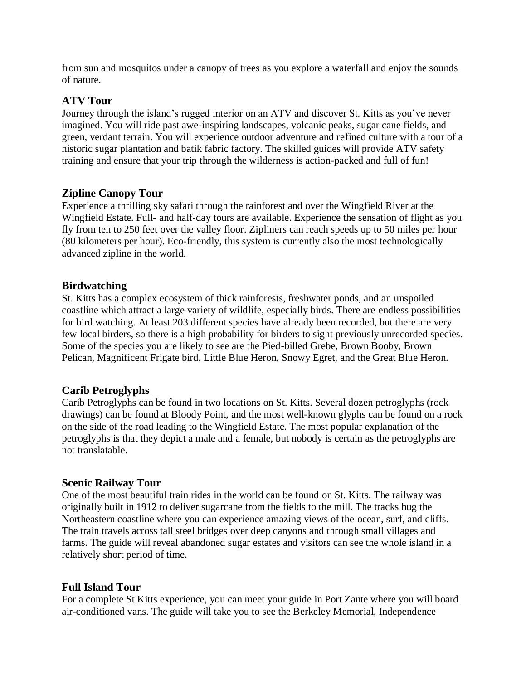from sun and mosquitos under a canopy of trees as you explore a waterfall and enjoy the sounds of nature.

# **ATV Tour**

Journey through the island's rugged interior on an ATV and discover St. Kitts as you've never imagined. You will ride past awe-inspiring landscapes, volcanic peaks, sugar cane fields, and green, verdant terrain. You will experience outdoor adventure and refined culture with a tour of a historic sugar plantation and batik fabric factory. The skilled guides will provide ATV safety training and ensure that your trip through the wilderness is action-packed and full of fun!

# **Zipline Canopy Tour**

Experience a thrilling sky safari through the rainforest and over the Wingfield River at the Wingfield Estate. Full- and half-day tours are available. Experience the sensation of flight as you fly from ten to 250 feet over the valley floor. Zipliners can reach speeds up to 50 miles per hour (80 kilometers per hour). Eco-friendly, this system is currently also the most technologically advanced zipline in the world.

#### **Birdwatching**

St. Kitts has a complex ecosystem of thick rainforests, freshwater ponds, and an unspoiled coastline which attract a large variety of wildlife, especially birds. There are endless possibilities for bird watching. At least 203 different species have already been recorded, but there are very few local birders, so there is a high probability for birders to sight previously unrecorded species. Some of the species you are likely to see are the Pied-billed Grebe, Brown Booby, Brown Pelican, Magnificent Frigate bird, Little Blue Heron, Snowy Egret, and the Great Blue Heron.

#### **Carib Petroglyphs**

Carib Petroglyphs can be found in two locations on St. Kitts. Several dozen petroglyphs (rock drawings) can be found at Bloody Point, and the most well-known glyphs can be found on a rock on the side of the road leading to the Wingfield Estate. The most popular explanation of the petroglyphs is that they depict a male and a female, but nobody is certain as the petroglyphs are not translatable.

#### **Scenic Railway Tour**

One of the most beautiful train rides in the world can be found on St. Kitts. The railway was originally built in 1912 to deliver sugarcane from the fields to the mill. The tracks hug the Northeastern coastline where you can experience amazing views of the ocean, surf, and cliffs. The train travels across tall steel bridges over deep canyons and through small villages and farms. The guide will reveal abandoned sugar estates and visitors can see the whole island in a relatively short period of time.

#### **Full Island Tour**

For a complete St Kitts experience, you can meet your guide in Port Zante where you will board air-conditioned vans. The guide will take you to see the Berkeley Memorial, Independence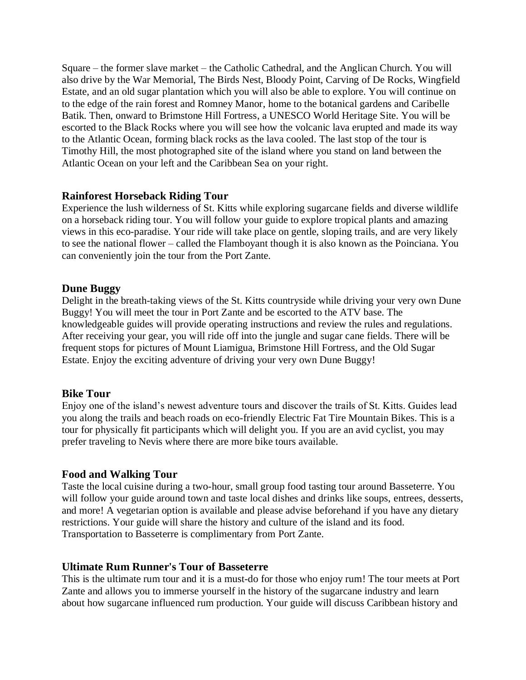Square – the former slave market – the Catholic Cathedral, and the Anglican Church. You will also drive by the War Memorial, The Birds Nest, Bloody Point, Carving of De Rocks, Wingfield Estate, and an old sugar plantation which you will also be able to explore. You will continue on to the edge of the rain forest and Romney Manor, home to the botanical gardens and Caribelle Batik. Then, onward to Brimstone Hill Fortress, a UNESCO World Heritage Site. You will be escorted to the Black Rocks where you will see how the volcanic lava erupted and made its way to the Atlantic Ocean, forming black rocks as the lava cooled. The last stop of the tour is Timothy Hill, the most photographed site of the island where you stand on land between the Atlantic Ocean on your left and the Caribbean Sea on your right.

#### **Rainforest Horseback Riding Tour**

Experience the lush wilderness of St. Kitts while exploring sugarcane fields and diverse wildlife on a horseback riding tour. You will follow your guide to explore tropical plants and amazing views in this eco-paradise. Your ride will take place on gentle, sloping trails, and are very likely to see the national flower – called the Flamboyant though it is also known as the Poinciana. You can conveniently join the tour from the Port Zante.

#### **Dune Buggy**

Delight in the breath-taking views of the St. Kitts countryside while driving your very own Dune Buggy! You will meet the tour in Port Zante and be escorted to the ATV base. The knowledgeable guides will provide operating instructions and review the rules and regulations. After receiving your gear, you will ride off into the jungle and sugar cane fields. There will be frequent stops for pictures of Mount Liamigua, Brimstone Hill Fortress, and the Old Sugar Estate. Enjoy the exciting adventure of driving your very own Dune Buggy!

#### **Bike Tour**

Enjoy one of the island's newest adventure tours and discover the trails of St. Kitts. Guides lead you along the trails and beach roads on eco-friendly Electric Fat Tire Mountain Bikes. This is a tour for physically fit participants which will delight you. If you are an avid cyclist, you may prefer traveling to Nevis where there are more bike tours available.

#### **Food and Walking Tour**

Taste the local cuisine during a two-hour, small group food tasting tour around Basseterre. You will follow your guide around town and taste local dishes and drinks like soups, entrees, desserts, and more! A vegetarian option is available and please advise beforehand if you have any dietary restrictions. Your guide will share the history and culture of the island and its food. Transportation to Basseterre is complimentary from Port Zante.

#### **Ultimate Rum Runner's Tour of Basseterre**

This is the ultimate rum tour and it is a must-do for those who enjoy rum! The tour meets at Port Zante and allows you to immerse yourself in the history of the sugarcane industry and learn about how sugarcane influenced rum production. Your guide will discuss Caribbean history and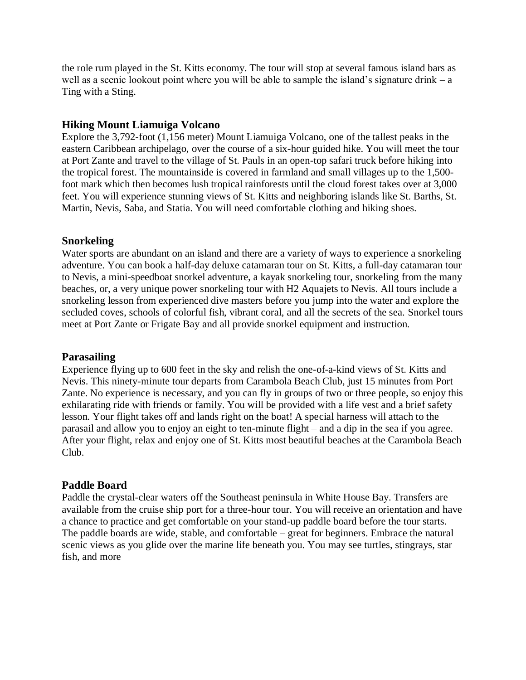the role rum played in the St. Kitts economy. The tour will stop at several famous island bars as well as a scenic lookout point where you will be able to sample the island's signature drink – a Ting with a Sting.

#### **Hiking Mount Liamuiga Volcano**

Explore the 3,792-foot (1,156 meter) Mount Liamuiga Volcano, one of the tallest peaks in the eastern Caribbean archipelago, over the course of a six-hour guided hike. You will meet the tour at Port Zante and travel to the village of St. Pauls in an open-top safari truck before hiking into the tropical forest. The mountainside is covered in farmland and small villages up to the 1,500 foot mark which then becomes lush tropical rainforests until the cloud forest takes over at 3,000 feet. You will experience stunning views of St. Kitts and neighboring islands like St. Barths, St. Martin, Nevis, Saba, and Statia. You will need comfortable clothing and hiking shoes.

#### **Snorkeling**

Water sports are abundant on an island and there are a variety of ways to experience a snorkeling adventure. You can book a half-day deluxe catamaran tour on St. Kitts, a full-day catamaran tour to Nevis, a mini-speedboat snorkel adventure, a kayak snorkeling tour, snorkeling from the many beaches, or, a very unique power snorkeling tour with H2 Aquajets to Nevis. All tours include a snorkeling lesson from experienced dive masters before you jump into the water and explore the secluded coves, schools of colorful fish, vibrant coral, and all the secrets of the sea. Snorkel tours meet at Port Zante or Frigate Bay and all provide snorkel equipment and instruction.

#### **Parasailing**

Experience flying up to 600 feet in the sky and relish the one-of-a-kind views of St. Kitts and Nevis. This ninety-minute tour departs from Carambola Beach Club, just 15 minutes from Port Zante. No experience is necessary, and you can fly in groups of two or three people, so enjoy this exhilarating ride with friends or family. You will be provided with a life vest and a brief safety lesson. Your flight takes off and lands right on the boat! A special harness will attach to the parasail and allow you to enjoy an eight to ten-minute flight – and a dip in the sea if you agree. After your flight, relax and enjoy one of St. Kitts most beautiful beaches at the Carambola Beach Club.

#### **Paddle Board**

Paddle the crystal-clear waters off the Southeast peninsula in White House Bay. Transfers are available from the cruise ship port for a three-hour tour. You will receive an orientation and have a chance to practice and get comfortable on your stand-up paddle board before the tour starts. The paddle boards are wide, stable, and comfortable – great for beginners. Embrace the natural scenic views as you glide over the marine life beneath you. You may see turtles, stingrays, star fish, and more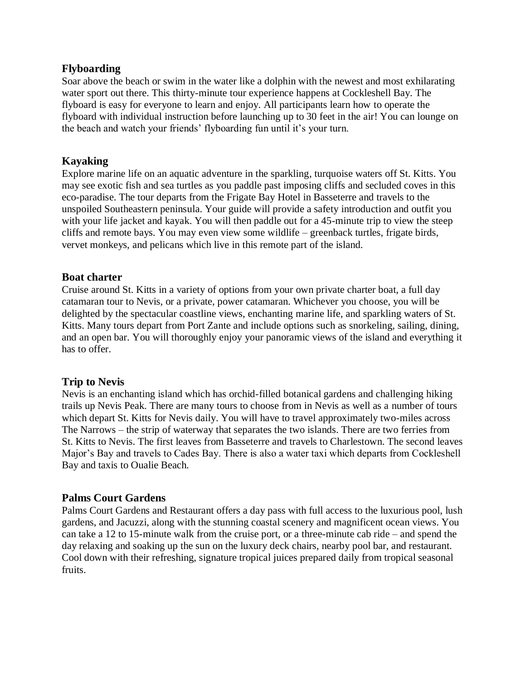#### **Flyboarding**

Soar above the beach or swim in the water like a dolphin with the newest and most exhilarating water sport out there. This thirty-minute tour experience happens at Cockleshell Bay. The flyboard is easy for everyone to learn and enjoy. All participants learn how to operate the flyboard with individual instruction before launching up to 30 feet in the air! You can lounge on the beach and watch your friends' flyboarding fun until it's your turn.

# **Kayaking**

Explore marine life on an aquatic adventure in the sparkling, turquoise waters off St. Kitts. You may see exotic fish and sea turtles as you paddle past imposing cliffs and secluded coves in this eco-paradise. The tour departs from the Frigate Bay Hotel in Basseterre and travels to the unspoiled Southeastern peninsula. Your guide will provide a safety introduction and outfit you with your life jacket and kayak. You will then paddle out for a 45-minute trip to view the steep cliffs and remote bays. You may even view some wildlife – greenback turtles, frigate birds, vervet monkeys, and pelicans which live in this remote part of the island.

#### **Boat charter**

Cruise around St. Kitts in a variety of options from your own private charter boat, a full day catamaran tour to Nevis, or a private, power catamaran. Whichever you choose, you will be delighted by the spectacular coastline views, enchanting marine life, and sparkling waters of St. Kitts. Many tours depart from Port Zante and include options such as snorkeling, sailing, dining, and an open bar. You will thoroughly enjoy your panoramic views of the island and everything it has to offer.

#### **Trip to Nevis**

Nevis is an enchanting island which has orchid-filled botanical gardens and challenging hiking trails up Nevis Peak. There are many tours to choose from in Nevis as well as a number of tours which depart St. Kitts for Nevis daily. You will have to travel approximately two-miles across The Narrows – the strip of waterway that separates the two islands. There are two ferries from St. Kitts to Nevis. The first leaves from Basseterre and travels to Charlestown. The second leaves Major's Bay and travels to Cades Bay. There is also a water taxi which departs from Cockleshell Bay and taxis to Oualie Beach.

#### **Palms Court Gardens**

Palms Court Gardens and Restaurant offers a day pass with full access to the luxurious pool, lush gardens, and Jacuzzi, along with the stunning coastal scenery and magnificent ocean views. You can take a 12 to 15-minute walk from the cruise port, or a three-minute cab ride – and spend the day relaxing and soaking up the sun on the luxury deck chairs, nearby pool bar, and restaurant. Cool down with their refreshing, signature tropical juices prepared daily from tropical seasonal fruits.